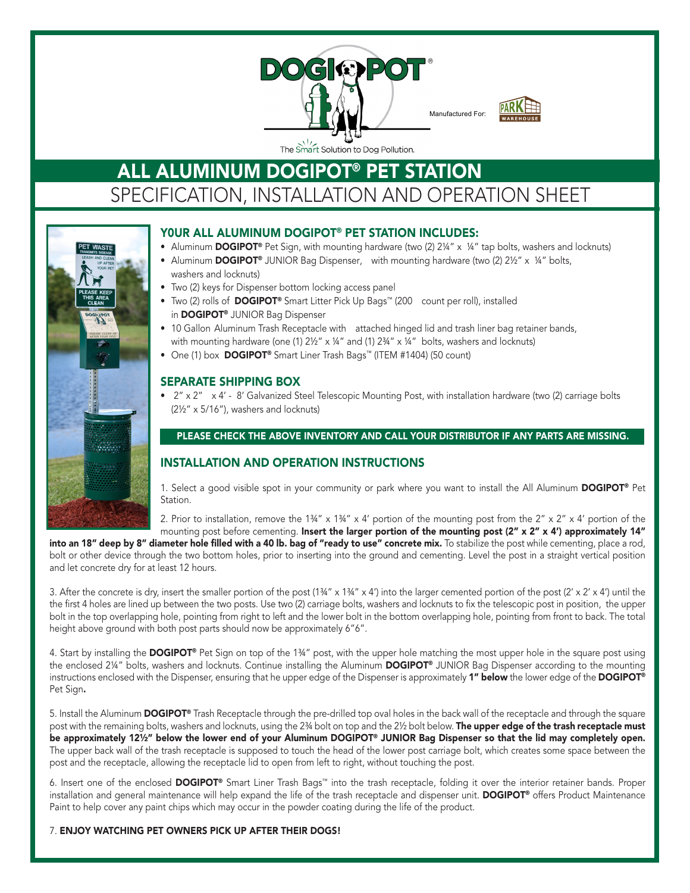



 $\mathsf{ALL}\ \mathsf{ALUMINUM}\ \mathsf{DOGIPOT}^{\circledcirc}\ \mathsf{PET}\ \mathsf{STATION}$ SPECIFICATION, INSTALLATION AND OPERATION SHEET



# Y0ur ALL Aluminum DOGIPOT® PET STATION INcLuDES:

- Aluminum DOGIPOT® Pet Sign, with mounting hardware (two  $(2) 2\frac{1}{4}$ " x  $\frac{1}{4}$ " tap bolts, washers and locknuts)
- Aluminum DOGIPOT® JUNIOR Bag Dispenser, with mounting hardware (two (2) 21/2" x 1/4" bolts, washers and locknuts)
- Two (2) keys for Dispenser bottom locking access panel
- Two (2) rolls of DOGIPOT<sup>®</sup> Smart Litter Pick Up Bags™ (200 count per roll), installed in DOGIPOT® JUNIOR Bag Dispenser
- 10 Gallon Aluminum Trash Receptacle with attached hinged lid and trash liner bag retainer bands, with mounting hardware (one (1)  $2\frac{1}{2}$ " x 1/4" and (1)  $2\frac{3}{4}$ " x 1/4" bolts, washers and locknuts)
- One (1) box DOGIPOT® Smart Liner Trash Bags™ (ITEM #1404) (50 count)

## SEPArATE SHIPPING BOx

• 2" x 2" x 4' - 8' Galvanized Steel Telescopic Mounting Post, with installation hardware (two (2) carriage bolts (2½" x 5/16"), washers and locknuts)

### PLEASE CHECK THE ABOVE INVENTORY AND CALL YOUR DISTRIBUTOR IF ANY PARTS ARE MISSING.

## INSTALLATION AND OPErATION INSTrucTIONS

1. Select a good visible spot in your community or park where you want to install the All Aluminum **DOGIPOT®** Pet Station.

2. Prior to installation, remove the  $1\frac{3}{4}$ " x  $4\frac{13}{4}$ " x  $4\frac{1}{4}$  portion of the mounting post from the  $2$ " x  $2$ " x  $4\frac{1}{4}$  portion of the mounting post before cementing. Insert the larger portion of the mounting post (2" x 2" x 4') approximately 14"

into an 18" deep by 8" diameter hole filled with a 40 lb. bag of "ready to use" concrete mix. To stabilize the post while cementing, place a rod, bolt or other device through the two bottom holes, prior to inserting into the ground and cementing. Level the post in a straight vertical position and let concrete dry for at least 12 hours.

3. After the concrete is dry, insert the smaller portion of the post  $(1\frac{3}{4}$ " x  $1\frac{3}{4}$ " x  $4$ ") into the larger cemented portion of the post  $(2' \times 2' \times 4')$  until the the first 4 holes are lined up between the two posts. Use two (2) carriage bolts, washers and locknuts to fix the telescopic post in position, the upper bolt in the top overlapping hole, pointing from right to left and the lower bolt in the bottom overlapping hole, pointing from front to back. The total height above ground with both post parts should now be approximately 6"6".

4. Start by installing the DOGIPOT® Pet Sign on top of the 1¾" post, with the upper hole matching the most upper hole in the square post using the enclosed 2¼" bolts, washers and locknuts. Continue installing the Aluminum DOGIPOT® JUNIOR Bag Dispenser according to the mounting instructions enclosed with the Dispenser, ensuring that he upper edge of the Dispenser is approximately 1" below the lower edge of the DOGIPOT® Pet Sign.

5. Install the Aluminum DOGIPOT® Trash Receptacle through the pre-drilled top oval holes in the back wall of the receptacle and through the square post with the remaining bolts, washers and locknuts, using the 2¾ bolt on top and the 2½ bolt below. The upper edge of the trash receptacle must be approximately 12½" below the lower end of your Aluminum DOGIPOT® JUNIOR Bag Dispenser so that the lid may completely open. The upper back wall of the trash receptacle is supposed to touch the head of the lower post carriage bolt, which creates some space between the post and the receptacle, allowing the receptacle lid to open from left to right, without touching the post.

6. Insert one of the enclosed DOGIPOT® Smart Liner Trash Bags™ into the trash receptacle, folding it over the interior retainer bands. Proper installation and general maintenance will help expand the life of the trash receptacle and dispenser unit. **DOGIPOT®** offers Product Maintenance Paint to help cover any paint chips which may occur in the powder coating during the life of the product.

### 7. ENJOY wATcHING PET OwNErS PIcK uP AFTEr THEIr DOGS!